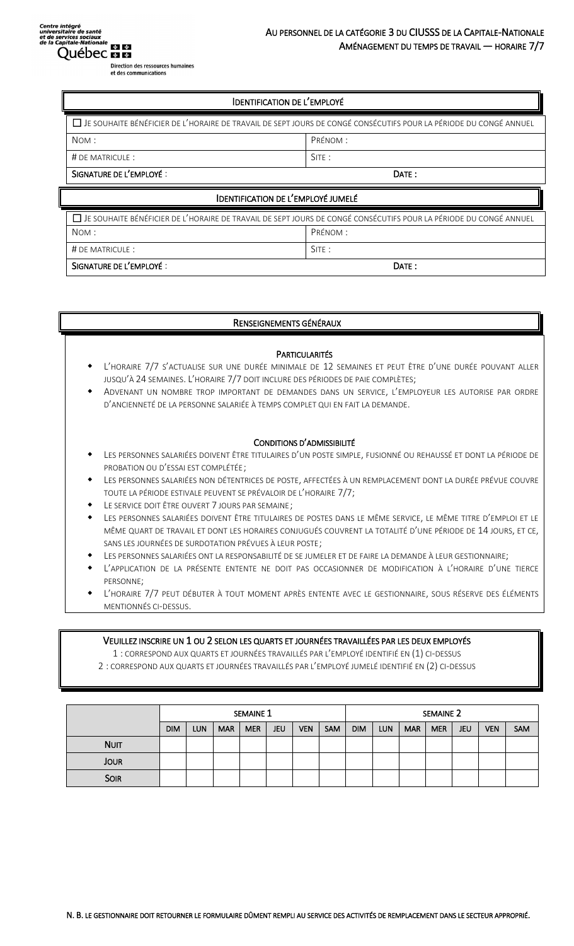Direction des ressources humaines<br>et des communications

| □ JE SOUHAITE BÉNÉFICIER DE L'HORAIRE DE TRAVAIL DE SEPT JOURS DE CONGÉ CONSÉCUTIFS POUR LA PÉRIODE DU CONGÉ ANNUEL |         |  |  |  |  |
|---------------------------------------------------------------------------------------------------------------------|---------|--|--|--|--|
| NOM:                                                                                                                | PRÉNOM: |  |  |  |  |
| $#$ DE MATRICULE :                                                                                                  | SITE:   |  |  |  |  |
| SIGNATURE DE L'EMPLOYÉ :<br>DATE:                                                                                   |         |  |  |  |  |
| <b>IDENTIFICATION DE L'EMPLOYÉ JUMELÉ</b>                                                                           |         |  |  |  |  |
| □ JE SOUHAITE BÉNÉFICIER DE L'HORAIRE DE TRAVAIL DE SEPT JOURS DE CONGÉ CONSÉCUTIFS POUR LA PÉRIODE DU CONGÉ ANNUEL |         |  |  |  |  |

| SIGNATURE DE L'EMPLOYÉ :                                                                                                 | DATE:    |  |  |  |  |
|--------------------------------------------------------------------------------------------------------------------------|----------|--|--|--|--|
| # DE MATRICULE :                                                                                                         | SITE:    |  |  |  |  |
| NOM:                                                                                                                     | PRÉNOM : |  |  |  |  |
| $\Box$ Je souhaite bénéficier de l'horaire de travail de sept jours de congé consécutifs pour la période du congé annuel |          |  |  |  |  |

### RENSEIGNEMENTS GÉNÉRAUX

## **PARTICULARITÉS**

- L'HORAIRE 7/7 S'ACTUALISE SUR UNE DURÉE MINIMALE DE 12 SEMAINES ET PEUT ÊTRE D'UNE DURÉE POUVANT ALLER JUSQU'À 24 SEMAINES. L'HORAIRE 7/7 DOIT INCLURE DES PÉRIODES DE PAIE COMPLÈTES;
- ADVENANT UN NOMBRE TROP IMPORTANT DE DEMANDES DANS UN SERVICE, L'EMPLOYEUR LES AUTORISE PAR ORDRE D'ANCIENNETÉ DE LA PERSONNE SALARIÉE À TEMPS COMPLET QUI EN FAIT LA DEMANDE.

#### CONDITIONS D'ADMISSIBILITÉ

- LES PERSONNES SALARIÉES DOIVENT ÊTRE TITULAIRES D'UN POSTE SIMPLE, FUSIONNÉ OU REHAUSSÉ ET DONT LA PÉRIODE DE PROBATION OU D'ESSAI EST COMPLÉTÉE;
- LES PERSONNES SALARIÉES NON DÉTENTRICES DE POSTE, AFFECTÉES À UN REMPLACEMENT DONT LA DURÉE PRÉVUE COUVRE TOUTE LA PÉRIODE ESTIVALE PEUVENT SE PRÉVALOIR DE L'HORAIRE 7/7;
- LE SERVICE DOIT ÊTRE OUVERT 7 JOURS PAR SEMAINE;
- LES PERSONNES SALARIÉES DOIVENT ÊTRE TITULAIRES DE POSTES DANS LE MÊME SERVICE, LE MÊME TITRE D'EMPLOI ET LE MÊME QUART DE TRAVAIL ET DONT LES HORAIRES CONJUGUÉS COUVRENT LA TOTALITÉ D'UNE PÉRIODE DE 14 JOURS, ET CE, SANS LES JOURNÉES DE SURDOTATION PRÉVUES À LEUR POSTE;
- LES PERSONNES SALARIÉES ONT LA RESPONSABILITÉ DE SE JUMELER ET DE FAIRE LA DEMANDE À LEUR GESTIONNAIRE;
- L'APPLICATION DE LA PRÉSENTE ENTENTE NE DOIT PAS OCCASIONNER DE MODIFICATION À L'HORAIRE D'UNE TIERCE PERSONNE;
- L'HORAIRE 7/7 PEUT DÉBUTER À TOUT MOMENT APRÈS ENTENTE AVEC LE GESTIONNAIRE, SOUS RÉSERVE DES ÉLÉMENTS MENTIONNÉS CI-DESSUS.

#### VEUILLEZ INSCRIRE UN 1 OU 2 SELON LES QUARTS ET JOURNÉES TRAVAILLÉES PAR LES DEUX EMPLOYÉS

1 : CORRESPOND AUX QUARTS ET JOURNÉES TRAVAILLÉS PAR L'EMPLOYÉ IDENTIFIÉ EN (1) CI-DESSUS

2 : CORRESPOND AUX QUARTS ET JOURNÉES TRAVAILLÉS PAR L'EMPLOYÉ JUMELÉ IDENTIFIÉ EN (2) CI-DESSUS

|             | SEMAINE 1  |            |            |            |            | SEMAINE 2  |            |            |            |            |            |            |            |     |
|-------------|------------|------------|------------|------------|------------|------------|------------|------------|------------|------------|------------|------------|------------|-----|
|             | <b>DIM</b> | <b>LUN</b> | <b>MAR</b> | <b>MER</b> | <b>JEU</b> | <b>VEN</b> | <b>SAM</b> | <b>DIM</b> | <b>LUN</b> | <b>MAR</b> | <b>MER</b> | <b>JEU</b> | <b>VEN</b> | SAM |
| <b>NUIT</b> |            |            |            |            |            |            |            |            |            |            |            |            |            |     |
| <b>JOUR</b> |            |            |            |            |            |            |            |            |            |            |            |            |            |     |
| <b>SOIR</b> |            |            |            |            |            |            |            |            |            |            |            |            |            |     |